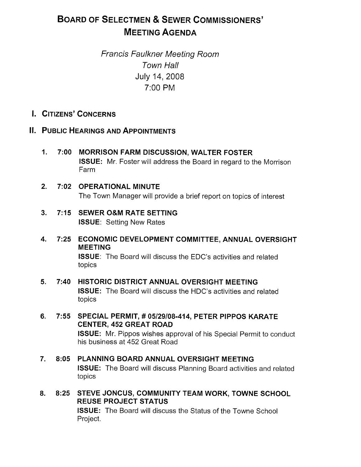# BOARD OF SELECTMEN & SEWER COMMISSIONERS' MEETING AGENDA

Francis Faulkner Meeting Room Town Hall July 14, 2008 7:00 PM

- I. CITIZENS' CONCERNS
- II. PUBLIC HEARINGS AND APPOINTMENTS
	- 1. 7:00 MORRISON FARM DISCUSSION, WALTER FOSTER ISSUE: Mr. Foster will address the Board in regard to the Morrison Farm
	- 2. 7:02 OPERATIONAL MINUTE The Town Manager will provide a brief report on topics of interest
	- 3. 7:15 SEWER O&M RATE SETTING ISSUE: Setting New Rates
	- 4. 7:25 ECONOMIC DEVELOPMENT COMMITTEE, ANNUAL OVERSIGHT MEETING ISSUE: The Board will discuss the EDC's activities and related topics
	- 5. 7:40 HISTORIC DISTRICT ANNUAL OVERSIGHT MEETING ISSUE: The Board will discuss the HDC's activities and related topics
	- 6. 7:55 SPECIAL PERMIT, # 05/29/08-414, PETER PIPPOS KARATE CENTER, 452 GREAT ROAD ISSUE: Mr. Pippos wishes approval of his Special Permit to conduct his business at 452 Great Road
	- 7. 8:05 PLANNING BOARD ANNUAL OVERSIGHT MEETING ISSUE: The Board will discuss Planning Board activities and related topics
	- 8. 8:25 STEVE JONCUS, COMMUNITY TEAM WORK, TOWNE SCHOOL REUSE PROJECT STATUS ISSUE: The Board will discuss the Status of the Towne School Project.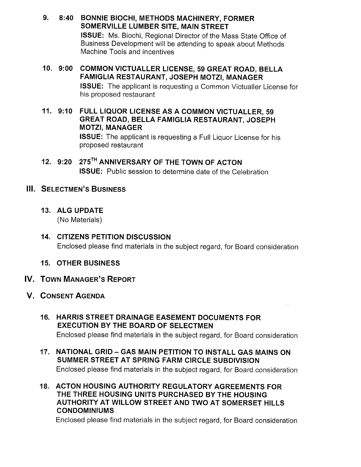- 9. 8:40 BONNIE BIOCHI, METHODS MACHINERY, FORMER SOMERVILLE LUMBER SITE, MAIN STREET ISSUE: Ms. Biochi, Regional Director of the Mass State Office of Business Development will be attending to speak about Methods Machine Tools and incentives
- 10. 9:00 COMMON VICTUALLER LICENSE, 59 GREAT ROAD, BELLA FAMIGLIA RESTAURANT, JOSEPH MOTZI, MANAGER ISSUE: The applicant is requesting a Common Victualler License for his proposed restaurant
- 11. 9:10 FULL LIQUOR LICENSE AS A COMMON VICTUALLER, 59 GREAT ROAD, BELLA FAMIGLIA RESTAURANT, JOSEPH MOTZI, MANAGER ISSUE: The applicant is requesting a Full Liquor License for his proposed restaurant
- 12. 9:20 275<sup>TH</sup> ANNIVERSARY OF THE TOWN OF ACTON ISSUE: Public session to determine date of the Celebration

# III. SELECTMEN'S BUSINESS

13. ALG UPDATE

(No Materials)

- 14. CITIZENS PETITION DISCUSSION Enclosed please find materials in the subject regard, for Board consideration
- 15. OTHER BUSINESS
- V. TOWN MANAGER'S REPORT
- V. CONSENT AGENDA
	- 16. HARRIS STREET DRAINAGE EASEMENT DOCUMENTS FOR EXECUTION BY THE BOARD OF SELECTMEN Enclosed please find materials in the subject regard, for Board consideration
	- 17. NATIONAL GRID GAS MAIN PETITION TO INSTALL GAS MAINS ON SUMMER STREET AT SPRING FARM CIRCLE SUBDIVISION Enclosed please find materials in the subject regard, for Board consideration
	- 18. ACTON HOUSING AUTHORITY REGULATORY AGREEMENTS FOR THE THREE HOUSING UNITS PURCHASED BY THE HOUSING AUTHORITY AT WILLOW STREET AND TWO AT SOMERSET HILLS CONDOMINIUMS

Enclosed please find materials in the subject regard, for Board consideration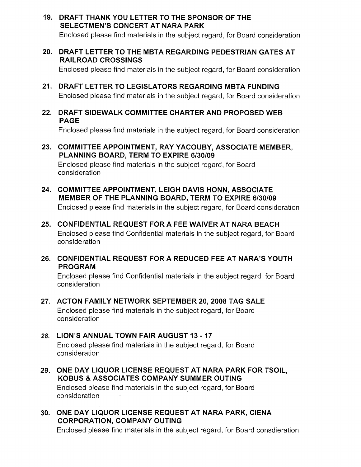- 19. DRAFT THANK YOU LETTER TO THE SPONSOR OF THE SELECTMEN'S CONCERT AT NARA PARK Enclosed please find materials in the subject regard, for Board consideration
- 20. DRAFT LETTER TO THE MBTA REGARDING PEDESTRIAN GATES AT RAILROAD CROSSINGS

Enclosed please find materials in the subject regard, for Board consideration

- 21. DRAFT LETTER TO LEGISLATORS REGARDING MBTA FUNDING Enclosed please find materials in the subject regard, for Board consideration
- 22. DRAFT SIDEWALK COMMITTEE CHARTER AND PROPOSED WEB PAGE

Enclosed please find materials in the subject regard, for Board consideration

23. COMMITTEE APPOINTMENT, RAY YACOUBY, ASSOCIATE MEMBER, PLANNING BOARD, TERM TO EXPIRE 6/30/09

Enclosed please find materials in the subject regard, for Board consideration

- 24. COMMITTEE APPOINTMENT, LEIGH DAVIS HONN, ASSOCIATE MEMBER OF THE PLANNING BOARD, TERM TO EXPIRE 6/30/09 Enclosed please find materials in the subject regard, for Board consideration
- 25. CONFIDENTIAL REQUEST FOR A FEE WAIVER AT NARA BEACH Enclosed please find Confidential materials in the subject regard, for Board consideration
- 26. CONFIDENTIAL REQUEST FOR A REDUCED FEE AT NARA'S YOUTH PROGRAM

Enclosed please find Confidential materials in the subject regard, for Board consideration

- 27. ACTON FAMILY NETWORK SEPTEMBER 20, 2008 TAG SALE Enclosed please find materials in the subject regard, for Board consideration
- 28. LION'S ANNUAL TOWN FAIR AUGUST 13 17 Enclosed please find materials in the subject regard, for Board consideration
- 29. ONE DAY LIQUOR LICENSE REQUEST AT NARA PARK FOR TSOIL, KOBUS & ASSOCIATES COMPANY SUMMER OUTING Enclosed please find materials in the subject regard, for Board consideration
- 30. ONE DAY LIQUOR LICENSE REQUEST AT NARA PARK, CIENA CORPORATION, COMPANY OUTING

Enclosed please find materials in the subject regard, for Board consdieration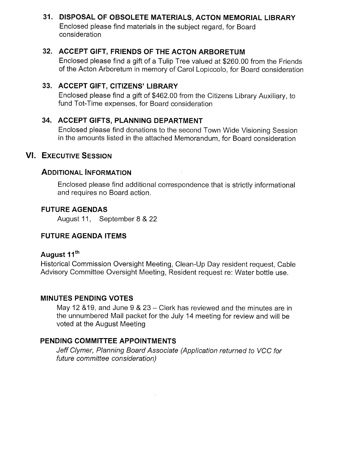# 31. DISPOSAL OF OBSOLETE MATERIALS, ACTON MEMORIAL LIBRARY

Enclosed please find materials in the subject regard, for Board consideration

### 32. ACCEPT GIFT, FRIENDS OF THE ACTON ARBORETUM

Enclosed please find a gift of a Tulip Tree valued at \$260.00 from the Friends of the Acton Arboretum in memory of Carol Lopiccolo, for Board consideration

## 33. ACCEPT GIFT, CITIZENS' LIBRARY

Enclosed please find a gift of \$462.00 from the Citizens Library Auxiliary, to fund Tot-Time expenses, for Board consideration

# 34. ACCEPT GIFTS, PLANNING DEPARTMENT

Enclosed please find donations to the second Town Wide Visioning Session in the amounts listed in the attached Memorandum, for Board consideration

### VI. EXECUTIVE SESSION

# ADDITIONAL INFORMATION

Enclosed please find additional correspondence that is strictly informational and requires no Board action.

### FUTURE AGENDAS

August 11, September 8 & 22

### FUTURE AGENDA ITEMS

# August 11<sup>th</sup>

Historical Commission Oversight Meeting, Clean-Up Day resident request, Cable Advisory Committee Oversight Meeting, Resident request re: Water bottle use.

### MINUTES PENDING VOTES

May 12 &19, and June 9 & 23— Clerk has reviewed and the minutes are in the unnumbered Mail packet for the July 14 meeting for review and will be voted at the August Meeting

### PENDING COMMITTEE APPOINTMENTS

Jeff Clymer, Planning Board Associate (Application returned to VCC for future committee consideration)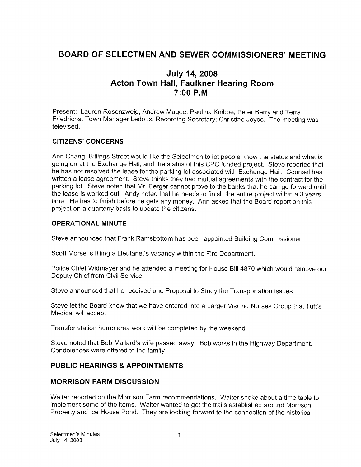# BOARD OF SELECTMEN AND SEWER COMMISSIONERS' MEETING

# July 14, 2008 Acton Town Hall, Faulkner Hearing Room 7:00 P.M.

Present: Lauren Rosenzweig, Andrew Magee, Paulina Knibbe, Peter Berry and Terra Friedrichs, Town Manager Ledoux, Recording Secretary; Christine Joyce. The meeting was televised.

### CITIZENS' CONCERNS

Ann Chang, Billings Street would like the Selectmen to let people know the status and what is going on at the Exchange Hall, and the status of this CPC funded project. Steve reported that he has not resolved the lease for the parking lot associated with Exchange Hall. Counsel has written a lease agreement. Steve thinks they had mutual agreements with the contract for the parking lot. Steve noted that Mr. Berger cannot prove to the banks that he can go forward until the lease is worked out. Andy noted that he needs to finish the entire project within a <sup>3</sup> years time. He has to finish before he gets any money. Ann asked that the Board report on this project on a quarterly basis to update the citizens.

#### OPERATIONAL MINUTE

Steve announced that Frank Ramsbottom has been appointed Building Commissioner.

Scott Morse is filling a Lieutanet's vacancy within the Fire Department.

Police Chief Widmayer and he attended a meeting for House Bill 4870 which would remove our Deputy Chief from Civil Service.

Steve announced that he received one Proposal to Study the Transportation issues.

Steve let the Board know that we have entered into a Larger Visiting Nurses Group that Tuft's Medical will accept

Transfer station hump area work will be completed by the weekend

Steve noted that Bob Mallard's wife passed away. Bob works in the Highway Department. Condolences were offered to the family

### PUBLIC HEARINGS & APPOINTMENTS

### MORRISON FARM DISCUSSION

Walter reported on the Morrison Farm recommendations. Walter spoke about a time table to implement some of the items. Walter wanted to get the trails established around Morrison Property and Ice House Pond. They are looking forward to the connection of the historical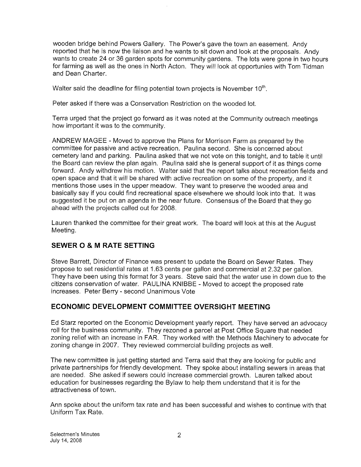wooden bridge behind Powers Gallery. The Power's gave the town an easement. Andy reported that he is now the liaison and he wants to sit down and look at the proposals. Andy wants to create 24 or 36 garden spots for community gardens. The lots were gone in two hours for farming as well as the ones in North Acton. They will look at opportunies with Tom Tidman and Dean Charter.

Walter said the deadline for filing potential town projects is November  $10<sup>th</sup>$ .

Peter asked if there was a Conservation Restriction on the wooded lot.

Terra urged that the project go forward as it was noted at the Community outreach meetings how important it was to the community.

ANDREW MAGEE - Moved to approve the Plans for Morrison Farm as prepared by the committee for passive and active recreation. Paulina second. She is concerned about cemetery land and parking. Paulina asked that we not vote on this tonight, and to table it until the Board can review the plan again. Paulina said she is general support of it as things come forward. Andy withdrew his motion. Walter said that the report talks about recreation fields and open space and that it will be shared with active recreation on some of the property, and it mentions those uses in the upper meadow. They want to preserve the wooded area and basically say if you could find recreational space elsewhere we should look into that. It was suggested it be put on an agenda in the near future. Consensus of the Board that they go ahead with the projects called out for 2008.

Lauren thanked the committee for their great work. The board will look at this at the August Meeting.

# SEWER 0 & <sup>M</sup> RATE SETTING

Steve Barrett, Director of Finance was present to update the Board on Sewer Rates. They propose to set residential rates at <sup>1</sup> .63 cents per gallon and commercial at 2.32 per gallon. They have been using this format for 3 years. Steve said that the water use in down due to the citizens conservation of water. PAULINA KNIBBE - Moved to accept the proposed rate increases. Peter Berry - second Unanimous Vote

# ECONOMIC DEVELOPMENT COMMITTEE OVERSIGHT MEETING

Ed Starz reported on the Economic Development yearly report. They have served an advocacy roll for the business community. They rezoned a parcel at Post Office Square that needed zoning relief with an increase in FAR. They worked with the Methods Machinery to advocate for zoning change in 2007. They reviewed commercial building projects as well.

The new committee is just getting started and Terra said that they are looking for public and private partnerships for friendly development. They spoke about installing sewers in areas that are needed. She asked if sewers could increase commercial growth. Lauren talked about education for businesses regarding the Bylaw to help them understand that it is for the attractiveness of town.

Ann spoke about the uniform tax rate and has been successful and wishes to continue with that Uniform Tax Rate.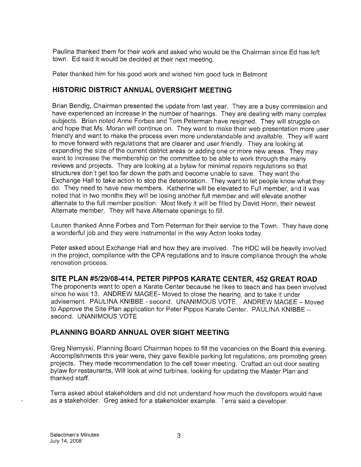Paulina thanked them for their work and asked who would be the Chairman since Ed has left town. Ed said it would be decided at their next meeting.

Peter thanked him for his good work and wished him good luck in Belmont

# HISTORIC DISTRICT ANNUAL OVERSIGHT MEETING

Brian Bendig, Chairman presented the update from last year. They are a busy commission and have experienced an increase in the number of hearings. They are dealing with many complex subjects. Brian noted Anne Forbes and Tom Peterman have resigned. They will struggle on and hope that Ms. Moran will continue on. They want to make their web presentation more user friendly and want to make the process even more understandable and available. They will want to move forward with regulations that are clearer and user friendly. They are looking at expanding the size of the current district areas or adding one or more new areas. They may want to increase the membership on the committee to be able to work through the many reviews and projects. They are looking at a bylaw for minimal repairs regulations so that structures don't get too far down the path and become unable to save. They want the Exchange Hall to take action to stop the deterioration. They want to let people know what they do. They need to have new members. Katherine will be elevated to Full member, and it was noted that in two months they will be losing another full member and will elevate another alternate to the full member position. Most likely it will be filled by David Honn, their newest Alternate member. They will have Alternate openings to fill.

Lauren thanked Anne Forbes and Tom Peterman for their service to the Town. They have done a wonderful job and they were instrumental in the way Acton looks today.

Peter asked about Exchange Hall and how they are involved. The HDC will be heavily involved in the project, compliance with the CPA regulations and to insure compliance through the whole renovation process.

### SITE PLAN #5129/08-414, PETER PIPPOS KARATE CENTER, 452 GREAT ROAD

The proponents want to open a Karate Center because he likes to teach and has been involved since he was 13. ANDREW MAGEE- Moved to close the hearing, and to take it under advisement. PAULINA KNIBBE - second. UNANIMOUS VOTE. ANDREW MAGEE - Moved to Approve the Site Plan application for Peter Pippos Karate Center. PAULINA KNIBBE second. UNANIMOUS VOTE

### PLANNING BOARD ANNUAL OVER SIGHT MEETING

Greg Niemyski, Planning Board Chairman hopes to fill the vacancies on the Board this evening. Accomplishments this year were, they gave flexible parking lot regulations, are promoting green projects. They made recommendation to the cell tower meeting. Crafted an out door seating bylaw for restaurants, Will look at wind turbines, looking for updating the Master Plan and thanked staff.

Terra asked about stakeholders and did not understand how much the developers would have as a stakeholder. Greg asked for a stakeholder example. Terra said a developer.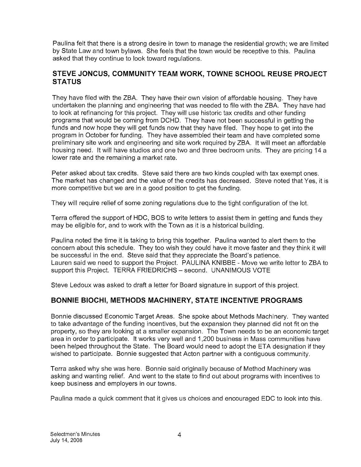Paulina felt that there is a strong desire in town to manage the residential growth; we are limited by State Law and town bylaws. She feels that the town would be receptive to this. Paulina asked that they continue to look toward regulations.

# STEVE JONCUS, COMMUNITY TEAM WORK, TOWNE SCHOOL REUSE PROJECT **STATUS**

They have filed with the ZBA. They have their own vision of affordable housing. They have undertaken the planning and engineering that was needed to file with the ZBA. They have had to look at refinancing for this project. They will use historic tax credits and other funding programs that would be coming from DCHD. They have not been successful in getting the funds and now hope they will get funds now that they have filed. They hope to get into the program in October for funding. They have assembled their team and have completed some preliminary site work and engineering and site work required by ZBA. It will meet an affordable housing need. It will have studios and one two and three bedroom units. They are pricing 14 a lower rate and the remaining a market rate.

Peter asked about tax credits. Steve said there are two kinds coupled with tax exempt ones. The market has changed and the value of the credits has decreased. Steve noted that Yes, it is more competitive but we are in a good position to get the funding.

They will require relief of some zoning regulations due to the tight configuration of the lot.

Terra offered the support of HDC, BOS to write letters to assist them in getting and funds they may be eligible for, and to work with the Town as it is a historical building.

Paulina noted the time it is taking to bring this together. Paulina wanted to alert them to the concern about this schedule. They too wish they could have it move faster and they think it will be successful in the end. Steve said that they appreciate the Board's patience. Lauren said we need to support the Project. PAULINA KNIBBE - Move we write letter to ZBA to support this Project. TERRA FRIEDRICHS — second. UNANIMOUS VOTE

Steve Ledoux was asked to draft a letter for Board signature in support of this project.

# BONNIE BIOCHI, METHODS MACHINERY, STATE INCENTIVE PROGRAMS

Bonnie discussed Economic Target Areas. She spoke about Methods Machinery. They wanted to take advantage of the funding incentives, but the expansion they planned did not fit on the property, so they are looking at a smaller expansion. The Town needs to be an economic target area in order to participate. It works very well and 1,200 business in Mass communities have been helped throughout the State. The Board would need to adopt the ETA designation if they wished to participate. Bonnie suggested that Acton partner with a contiguous community.

Terra asked why she was here. Bonnie said originally because of Method Machinery was asking and wanting relief. And went to the state to find out about programs with incentives to keep business and employers in our towns.

Paulina made a quick comment that it gives us choices and encouraged EDO to look into this.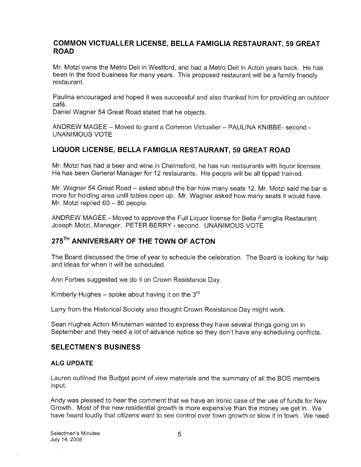### COMMON VICTUALLER LICENSE, BELLA FAMIGLIA RESTAURANT, 59 GREAT ROAD

Mr. Motzi owns the Metro Deli in Westford, and had a Metro Deli in Acton years back. He has been in the food business for many years. This proposed restaurant will be a family friendly restaurant.

Paulina encouraged and hoped it was successful and also thanked him for providing an outdoor café.

Daniel Wagner 54 Great Road stated that he objects.

ANDREW MAGEE — Moved to grant a Common Victualler — PAULINA KNIBBE- second - UNANIMOUS VOTE

### LIQUOR LICENSE, BELLA FAMIGLIA RESTAURANT, 59 GREAT ROAD

Mr. Motzi has had a beer and wine in Chelmsford, he has run restaurants with liquor licenses. He has been General Manager for 12 restaurants. His people will be all tipped trained.

Mr. Wagner 54 Great Road – asked about the bar how many seats 12. Mr. Motzi said the bar is more for holding area until tables open up. Mr. Wagner asked how many seats it would have. Mr. Motzi replied 60 — 80 people.

ANDREW MAGEE - Moved to approve the Full Liquor license for Bella Famiglia Restaurant, Joseph Motzi, Manager. PETER BERRY - second. UNANIMOUS VOTE

# 275<sup>TH</sup> ANNIVERSARY OF THE TOWN OF ACTON

The Board discussed the time of year to schedule the celebration. The Board is looking for help and ideas for when it will be scheduled.

Ann Forbes suggested we do it on Crown Resistance Day.

Kimberly Hughes – spoke about having it on the  $3<sup>rd</sup>$ 

Larry from the Historical Society also thought Crown Resistance Day might work.

Sean Hughes Acton Minuteman wanted to express they have several things going on in September and they need a lot of advance notice so they don't have any scheduling conflicts.

### SELECTMEN'S BUSINESS

#### ALG UPDATE

Lauren outlined the Budget point of view materials and the summary of all the BOS members input.

Andy was pleased to hear the comment that we have an ironic case of the use of funds for New Growth. Most of the new residential growth is more expensive than the money we get in. We have heard loudly that citizens want to see control over town growth or slow it in town. We need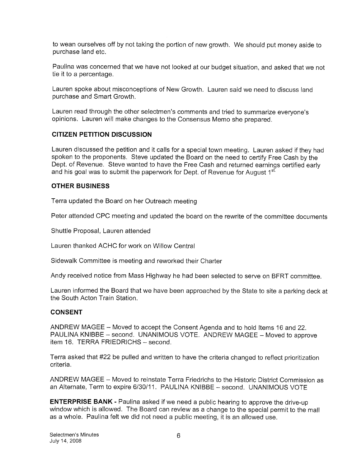to wean ourselves off by not taking the portion of new growth. We should put money aside to purchase land etc.

Paulina was concerned that we have not looked at our budget situation, and asked that we not tie it to a percentage.

Lauren spoke about misconceptions of New Growth. Lauren said we need to discuss land purchase and Smart Growth.

Lauren read through the other selectmen's comments and tried to summarize everyone's opinions. Lauren will make changes to the Consensus Memo she prepared.

### CITIZEN PETITION DISCUSSION

Lauren discussed the petition and it calls for a special town meeting. Lauren asked if they had spoken to the proponents. Steve updated the Board on the need to certify Free Cash by the Dept. of Revenue. Steve wanted to have the Free Cash and returned earnings certified early and his goal was to submit the paperwork for Dept. of Revenue for August  $1<sup>st</sup>$ 

### OTHER BUSINESS

Terra updated the Board on her Outreach meeting

Peter attended CPC meeting and updated the board on the rewrite of the committee documents

Shuttle Proposal, Lauren attended

Lauren thanked ACHC for work on Willow Central

Sidewalk Committee is meeting and reworked their Charter

Andy received notice from Mass Highway he had been selected to serve on BFRT committee.

Lauren informed the Board that we have been approached by the State to site a parking deck at the South Acton Train Station.

### CONSENT

ANDREW MAGEE — Moved to accept the Consent Agenda and to hold Items 16 and 22. PAULINA KNIBBE — second. UNANIMOUS VOTE. ANDREW MAGEE — Moved to approve item 16. TERRA FRIEDRICHS — second.

Terra asked that #22 be pulled and written to have the criteria changed to reflect prioritization criteria.

ANDREW MAGEE — Moved to reinstate Terra Friedrichs to the Historic District Commission as an Alternate, Term to expire 6/30/11. PAULINA KNIBBE - second. UNANIMOUS VOTE

ENTERPRISE BANK - Paulina asked if we need a public hearing to approve the drive-up window which is allowed. The Board can review as a change to the special permit to the mall as a whole. Paulina felt we did not need a public meeting, it is an allowed use.